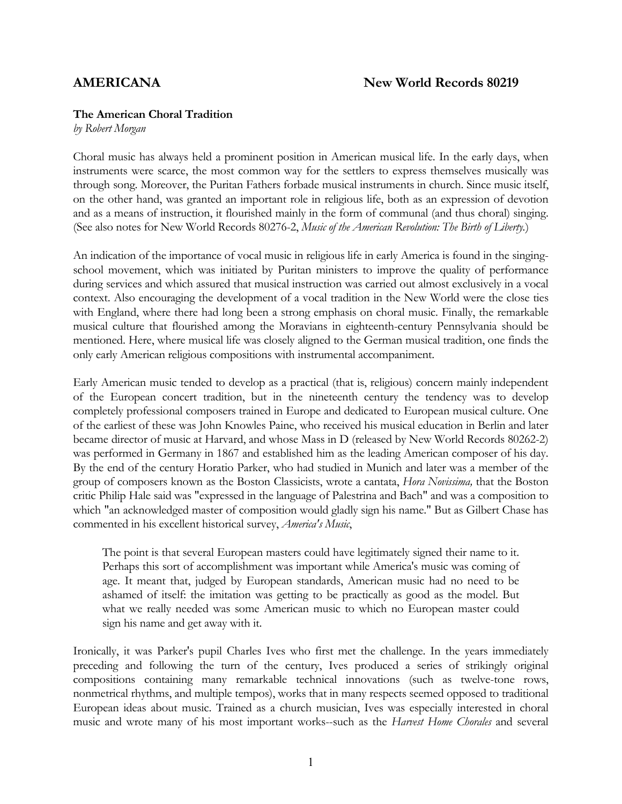# **The American Choral Tradition**

*by Robert Morgan*

Choral music has always held a prominent position in American musical life. In the early days, when instruments were scarce, the most common way for the settlers to express themselves musically was through song. Moreover, the Puritan Fathers forbade musical instruments in church. Since music itself, on the other hand, was granted an important role in religious life, both as an expression of devotion and as a means of instruction, it flourished mainly in the form of communal (and thus choral) singing. (See also notes for New World Records 80276-2, *Music of the American Revolution: The Birth of Liberty.*)

An indication of the importance of vocal music in religious life in early America is found in the singingschool movement, which was initiated by Puritan ministers to improve the quality of performance during services and which assured that musical instruction was carried out almost exclusively in a vocal context. Also encouraging the development of a vocal tradition in the New World were the close ties with England, where there had long been a strong emphasis on choral music. Finally, the remarkable musical culture that flourished among the Moravians in eighteenth-century Pennsylvania should be mentioned. Here, where musical life was closely aligned to the German musical tradition, one finds the only early American religious compositions with instrumental accompaniment.

Early American music tended to develop as a practical (that is, religious) concern mainly independent of the European concert tradition, but in the nineteenth century the tendency was to develop completely professional composers trained in Europe and dedicated to European musical culture. One of the earliest of these was John Knowles Paine, who received his musical education in Berlin and later became director of music at Harvard, and whose Mass in D (released by New World Records 80262-2) was performed in Germany in 1867 and established him as the leading American composer of his day. By the end of the century Horatio Parker, who had studied in Munich and later was a member of the group of composers known as the Boston Classicists, wrote a cantata, *Hora Novissima,* that the Boston critic Philip Hale said was "expressed in the language of Palestrina and Bach" and was a composition to which "an acknowledged master of composition would gladly sign his name." But as Gilbert Chase has commented in his excellent historical survey, *America's Music*,

The point is that several European masters could have legitimately signed their name to it. Perhaps this sort of accomplishment was important while America's music was coming of age. It meant that, judged by European standards, American music had no need to be ashamed of itself: the imitation was getting to be practically as good as the model. But what we really needed was some American music to which no European master could sign his name and get away with it.

Ironically, it was Parker's pupil Charles Ives who first met the challenge. In the years immediately preceding and following the turn of the century, Ives produced a series of strikingly original compositions containing many remarkable technical innovations (such as twelve-tone rows, nonmetrical rhythms, and multiple tempos), works that in many respects seemed opposed to traditional European ideas about music. Trained as a church musician, Ives was especially interested in choral music and wrote many of his most important works--such as the *Harvest Home Chorales* and several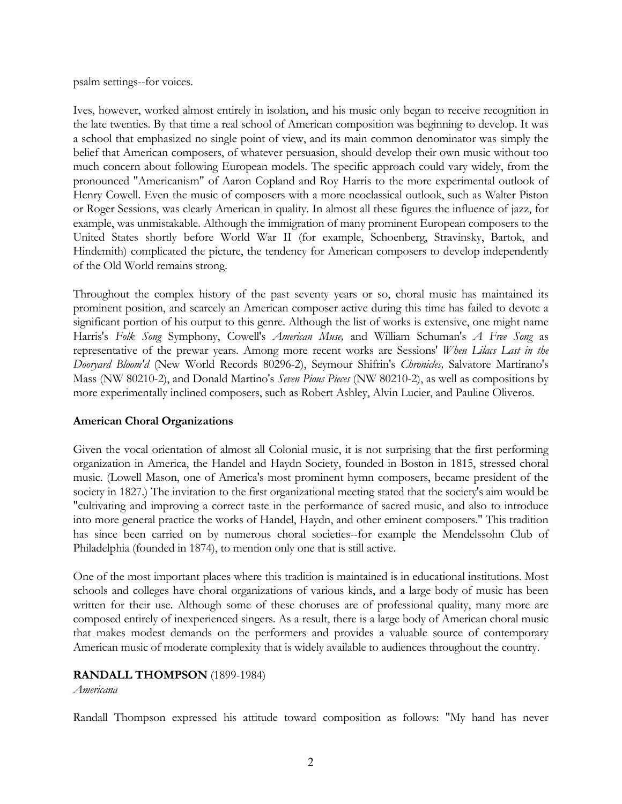psalm settings--for voices.

Ives, however, worked almost entirely in isolation, and his music only began to receive recognition in the late twenties. By that time a real school of American composition was beginning to develop. It was a school that emphasized no single point of view, and its main common denominator was simply the belief that American composers, of whatever persuasion, should develop their own music without too much concern about following European models. The specific approach could vary widely, from the pronounced "Americanism" of Aaron Copland and Roy Harris to the more experimental outlook of Henry Cowell. Even the music of composers with a more neoclassical outlook, such as Walter Piston or Roger Sessions, was clearly American in quality. In almost all these figures the influence of jazz, for example, was unmistakable. Although the immigration of many prominent European composers to the United States shortly before World War II (for example, Schoenberg, Stravinsky, Bartok, and Hindemith) complicated the picture, the tendency for American composers to develop independently of the Old World remains strong.

Throughout the complex history of the past seventy years or so, choral music has maintained its prominent position, and scarcely an American composer active during this time has failed to devote a significant portion of his output to this genre. Although the list of works is extensive, one might name Harris's *Folk Song* Symphony, Cowell's *American Muse,* and William Schuman's *A Free Song* as representative of the prewar years. Among more recent works are Sessions' *When Lilacs Last in the Dooryard Bloom'd* (New World Records 80296-2), Seymour Shifrin's *Chronicles,* Salvatore Martirano's Mass (NW 80210-2), and Donald Martino's *Seven Pious Pieces* (NW 80210-2), as well as compositions by more experimentally inclined composers, such as Robert Ashley, Alvin Lucier, and Pauline Oliveros.

# **American Choral Organizations**

Given the vocal orientation of almost all Colonial music, it is not surprising that the first performing organization in America, the Handel and Haydn Society, founded in Boston in 1815, stressed choral music. (Lowell Mason, one of America's most prominent hymn composers, became president of the society in 1827.) The invitation to the first organizational meeting stated that the society's aim would be "cultivating and improving a correct taste in the performance of sacred music, and also to introduce into more general practice the works of Handel, Haydn, and other eminent composers." This tradition has since been carried on by numerous choral societies--for example the Mendelssohn Club of Philadelphia (founded in 1874), to mention only one that is still active.

One of the most important places where this tradition is maintained is in educational institutions. Most schools and colleges have choral organizations of various kinds, and a large body of music has been written for their use. Although some of these choruses are of professional quality, many more are composed entirely of inexperienced singers. As a result, there is a large body of American choral music that makes modest demands on the performers and provides a valuable source of contemporary American music of moderate complexity that is widely available to audiences throughout the country.

# **RANDALL THOMPSON** (1899-1984)

*Americana*

Randall Thompson expressed his attitude toward composition as follows: "My hand has never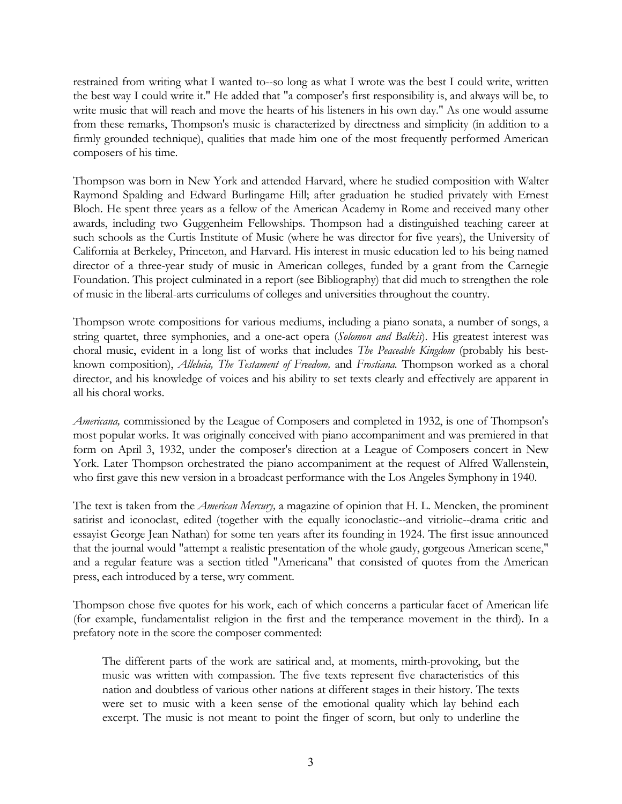restrained from writing what I wanted to--so long as what I wrote was the best I could write, written the best way I could write it." He added that "a composer's first responsibility is, and always will be, to write music that will reach and move the hearts of his listeners in his own day." As one would assume from these remarks, Thompson's music is characterized by directness and simplicity (in addition to a firmly grounded technique), qualities that made him one of the most frequently performed American composers of his time.

Thompson was born in New York and attended Harvard, where he studied composition with Walter Raymond Spalding and Edward Burlingame Hill; after graduation he studied privately with Ernest Bloch. He spent three years as a fellow of the American Academy in Rome and received many other awards, including two Guggenheim Fellowships. Thompson had a distinguished teaching career at such schools as the Curtis Institute of Music (where he was director for five years), the University of California at Berkeley, Princeton, and Harvard. His interest in music education led to his being named director of a three-year study of music in American colleges, funded by a grant from the Carnegie Foundation. This project culminated in a report (see Bibliography) that did much to strengthen the role of music in the liberal-arts curriculums of colleges and universities throughout the country.

Thompson wrote compositions for various mediums, including a piano sonata, a number of songs, a string quartet, three symphonies, and a one-act opera (*Solomon and Balkis*). His greatest interest was choral music, evident in a long list of works that includes *The Peaceable Kingdom* (probably his bestknown composition), *Alleluia, The Testament of Freedom,* and *Frostiana.* Thompson worked as a choral director, and his knowledge of voices and his ability to set texts clearly and effectively are apparent in all his choral works.

*Americana,* commissioned by the League of Composers and completed in 1932, is one of Thompson's most popular works. It was originally conceived with piano accompaniment and was premiered in that form on April 3, 1932, under the composer's direction at a League of Composers concert in New York. Later Thompson orchestrated the piano accompaniment at the request of Alfred Wallenstein, who first gave this new version in a broadcast performance with the Los Angeles Symphony in 1940.

The text is taken from the *American Mercury,* a magazine of opinion that H. L. Mencken, the prominent satirist and iconoclast, edited (together with the equally iconoclastic--and vitriolic--drama critic and essayist George Jean Nathan) for some ten years after its founding in 1924. The first issue announced that the journal would "attempt a realistic presentation of the whole gaudy, gorgeous American scene," and a regular feature was a section titled "Americana" that consisted of quotes from the American press, each introduced by a terse, wry comment.

Thompson chose five quotes for his work, each of which concerns a particular facet of American life (for example, fundamentalist religion in the first and the temperance movement in the third). In a prefatory note in the score the composer commented:

The different parts of the work are satirical and, at moments, mirth-provoking, but the music was written with compassion. The five texts represent five characteristics of this nation and doubtless of various other nations at different stages in their history. The texts were set to music with a keen sense of the emotional quality which lay behind each excerpt. The music is not meant to point the finger of scorn, but only to underline the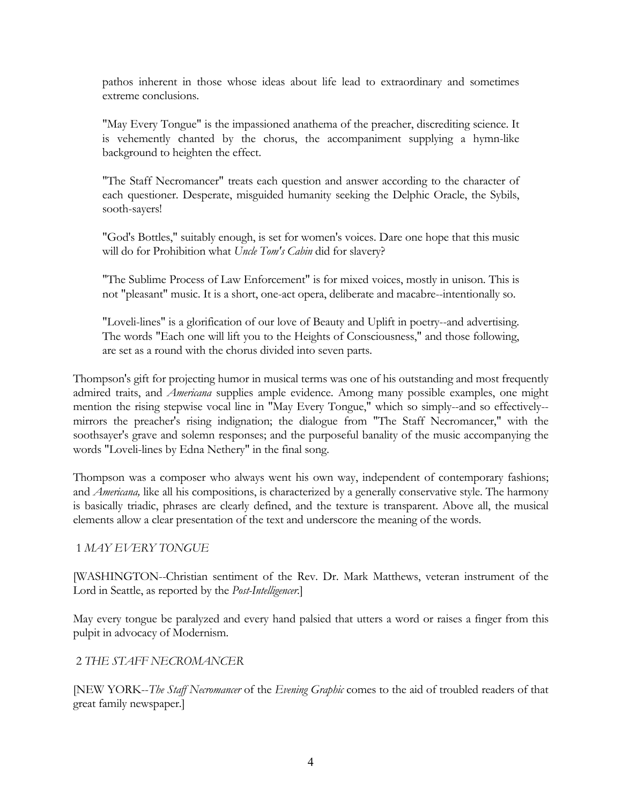pathos inherent in those whose ideas about life lead to extraordinary and sometimes extreme conclusions.

"May Every Tongue" is the impassioned anathema of the preacher, discrediting science. It is vehemently chanted by the chorus, the accompaniment supplying a hymn-like background to heighten the effect.

"The Staff Necromancer" treats each question and answer according to the character of each questioner. Desperate, misguided humanity seeking the Delphic Oracle, the Sybils, sooth-sayers!

"God's Bottles," suitably enough, is set for women's voices. Dare one hope that this music will do for Prohibition what *Uncle Tom's Cabin* did for slavery?

"The Sublime Process of Law Enforcement" is for mixed voices, mostly in unison. This is not "pleasant" music. It is a short, one-act opera, deliberate and macabre--intentionally so.

"Loveli-lines" is a glorification of our love of Beauty and Uplift in poetry--and advertising. The words "Each one will lift you to the Heights of Consciousness," and those following, are set as a round with the chorus divided into seven parts.

Thompson's gift for projecting humor in musical terms was one of his outstanding and most frequently admired traits, and *Americana* supplies ample evidence. Among many possible examples, one might mention the rising stepwise vocal line in "May Every Tongue," which so simply--and so effectively- mirrors the preacher's rising indignation; the dialogue from "The Staff Necromancer," with the soothsayer's grave and solemn responses; and the purposeful banality of the music accompanying the words "Loveli-lines by Edna Nethery" in the final song.

Thompson was a composer who always went his own way, independent of contemporary fashions; and *Americana,* like all his compositions, is characterized by a generally conservative style. The harmony is basically triadic, phrases are clearly defined, and the texture is transparent. Above all, the musical elements allow a clear presentation of the text and underscore the meaning of the words.

# 1 *MAY EVERY TONGUE*

[WASHINGTON--Christian sentiment of the Rev. Dr. Mark Matthews, veteran instrument of the Lord in Seattle, as reported by the *Post-Intelligencer.*]

May every tongue be paralyzed and every hand palsied that utters a word or raises a finger from this pulpit in advocacy of Modernism.

# 2 *THE STAFF NECROMANCER*

[NEW YORK--*The Staff Necromancer* of the *Evening Graphic* comes to the aid of troubled readers of that great family newspaper.]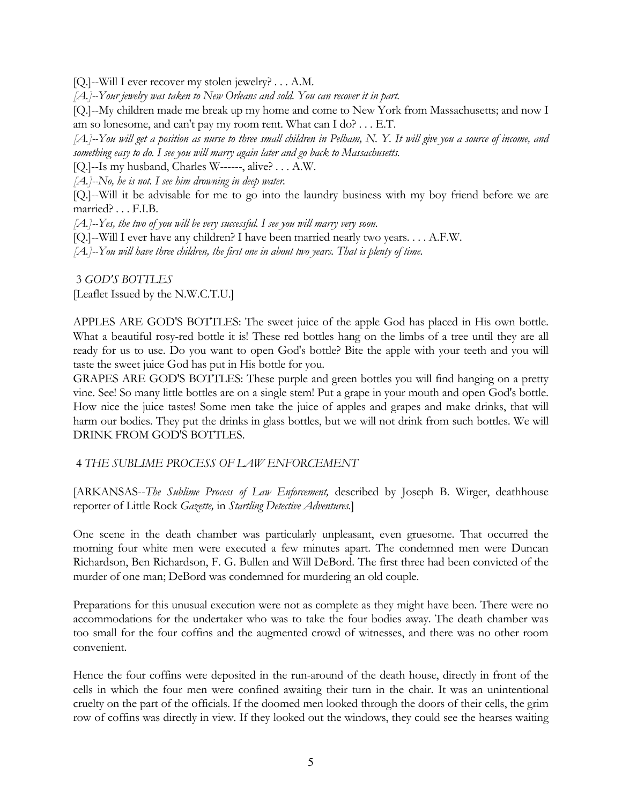[Q.]--Will I ever recover my stolen jewelry? . . . A.M.

*[A.]--Your jewelry was taken to New Orleans and sold. You can recover it in part.*

[Q.]--My children made me break up my home and come to New York from Massachusetts; and now I am so lonesome, and can't pay my room rent. What can I do? . . . E.T.

[A.]--You will get a position as nurse to three small children in Pelham, N. Y. It will give you a source of income, and *something easy to do. I see you will marry again later and go back to Massachusetts.*

[Q.]--Is my husband, Charles W------, alive? . . . A.W.

*[A.]--No, he is not. I see him drowning in deep water.*

[Q.]--Will it be advisable for me to go into the laundry business with my boy friend before we are married? . . . F.I.B.

*[A.]--Yes, the two of you will be very successful. I see you will marry very soon.*

[Q.]--Will I ever have any children? I have been married nearly two years. . . . A.F.W.

*[A.]--You will have three children, the first one in about two years. That is plenty of time.*

3 *GOD'S BOTTLES*

[Leaflet Issued by the N.W.C.T.U.]

APPLES ARE GOD'S BOTTLES: The sweet juice of the apple God has placed in His own bottle. What a beautiful rosy-red bottle it is! These red bottles hang on the limbs of a tree until they are all ready for us to use. Do you want to open God's bottle? Bite the apple with your teeth and you will taste the sweet juice God has put in His bottle for you.

GRAPES ARE GOD'S BOTTLES: These purple and green bottles you will find hanging on a pretty vine. See! So many little bottles are on a single stem! Put a grape in your mouth and open God's bottle. How nice the juice tastes! Some men take the juice of apples and grapes and make drinks, that will harm our bodies. They put the drinks in glass bottles, but we will not drink from such bottles. We will DRINK FROM GOD'S BOTTLES.

4 *THE SUBLIME PROCESS OF LAW ENFORCEMENT*

[ARKANSAS--*The Sublime Process of Law Enforcement,* described by Joseph B. Wirger, deathhouse reporter of Little Rock *Gazette,* in *Startling Detective Adventures.*]

One scene in the death chamber was particularly unpleasant, even gruesome. That occurred the morning four white men were executed a few minutes apart. The condemned men were Duncan Richardson, Ben Richardson, F. G. Bullen and Will DeBord. The first three had been convicted of the murder of one man; DeBord was condemned for murdering an old couple.

Preparations for this unusual execution were not as complete as they might have been. There were no accommodations for the undertaker who was to take the four bodies away. The death chamber was too small for the four coffins and the augmented crowd of witnesses, and there was no other room convenient.

Hence the four coffins were deposited in the run-around of the death house, directly in front of the cells in which the four men were confined awaiting their turn in the chair. It was an unintentional cruelty on the part of the officials. If the doomed men looked through the doors of their cells, the grim row of coffins was directly in view. If they looked out the windows, they could see the hearses waiting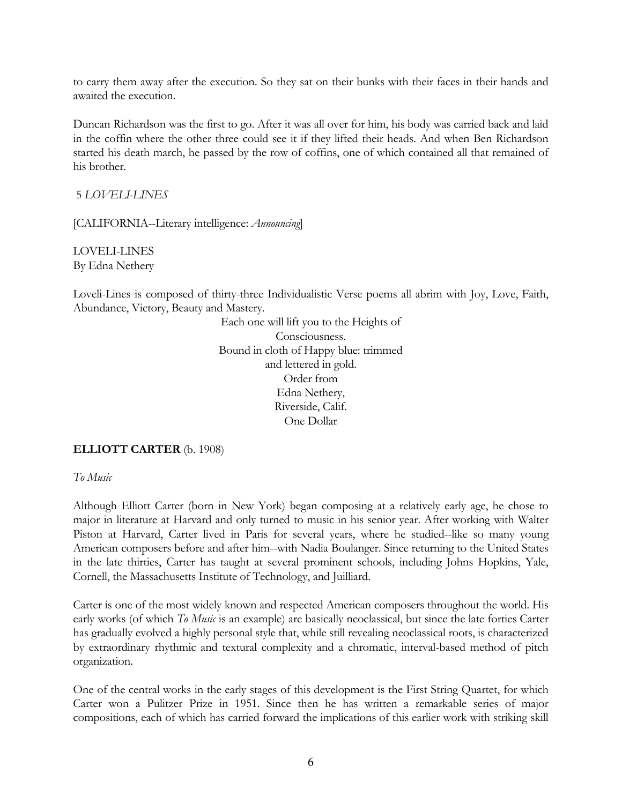to carry them away after the execution. So they sat on their bunks with their faces in their hands and awaited the execution.

Duncan Richardson was the first to go. After it was all over for him, his body was carried back and laid in the coffin where the other three could see it if they lifted their heads. And when Ben Richardson started his death march, he passed by the row of coffins, one of which contained all that remained of his brother.

5 *LOVELI-LINES*

[CALIFORNIA--Literary intelligence: *Announcing*]

LOVELI-LINES By Edna Nethery

Loveli-Lines is composed of thirty-three Individualistic Verse poems all abrim with Joy, Love, Faith, Abundance, Victory, Beauty and Mastery.

> Each one will lift you to the Heights of Consciousness. Bound in cloth of Happy blue: trimmed and lettered in gold. Order from Edna Nethery, Riverside, Calif. One Dollar

**ELLIOTT CARTER** (b. 1908)

*To Music*

Although Elliott Carter (born in New York) began composing at a relatively early age, he chose to major in literature at Harvard and only turned to music in his senior year. After working with Walter Piston at Harvard, Carter lived in Paris for several years, where he studied--like so many young American composers before and after him--with Nadia Boulanger. Since returning to the United States in the late thirties, Carter has taught at several prominent schools, including Johns Hopkins, Yale, Cornell, the Massachusetts Institute of Technology, and Juilliard.

Carter is one of the most widely known and respected American composers throughout the world. His early works (of which *To Music* is an example) are basically neoclassical, but since the late forties Carter has gradually evolved a highly personal style that, while still revealing neoclassical roots, is characterized by extraordinary rhythmic and textural complexity and a chromatic, interval-based method of pitch organization.

One of the central works in the early stages of this development is the First String Quartet, for which Carter won a Pulitzer Prize in 1951. Since then he has written a remarkable series of major compositions, each of which has carried forward the implications of this earlier work with striking skill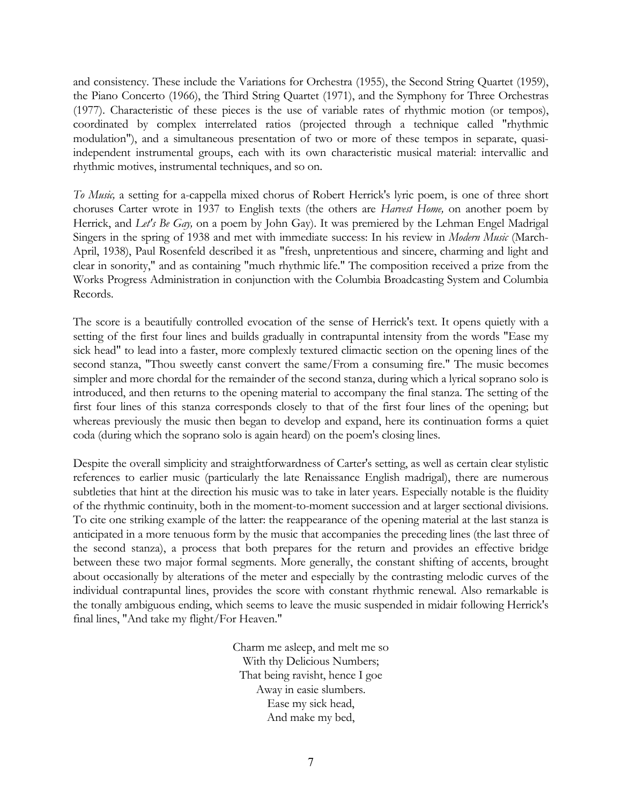and consistency. These include the Variations for Orchestra (1955), the Second String Quartet (1959), the Piano Concerto (1966), the Third String Quartet (1971), and the Symphony for Three Orchestras (1977). Characteristic of these pieces is the use of variable rates of rhythmic motion (or tempos), coordinated by complex interrelated ratios (projected through a technique called "rhythmic modulation"), and a simultaneous presentation of two or more of these tempos in separate, quasiindependent instrumental groups, each with its own characteristic musical material: intervallic and rhythmic motives, instrumental techniques, and so on.

*To Music,* a setting for a-cappella mixed chorus of Robert Herrick's lyric poem, is one of three short choruses Carter wrote in 1937 to English texts (the others are *Harvest Home,* on another poem by Herrick, and *Let's Be Gay,* on a poem by John Gay). It was premiered by the Lehman Engel Madrigal Singers in the spring of 1938 and met with immediate success: In his review in *Modern Music* (March-April, 1938), Paul Rosenfeld described it as "fresh, unpretentious and sincere, charming and light and clear in sonority," and as containing "much rhythmic life." The composition received a prize from the Works Progress Administration in conjunction with the Columbia Broadcasting System and Columbia Records.

The score is a beautifully controlled evocation of the sense of Herrick's text. It opens quietly with a setting of the first four lines and builds gradually in contrapuntal intensity from the words "Ease my sick head" to lead into a faster, more complexly textured climactic section on the opening lines of the second stanza, "Thou sweetly canst convert the same/From a consuming fire." The music becomes simpler and more chordal for the remainder of the second stanza, during which a lyrical soprano solo is introduced, and then returns to the opening material to accompany the final stanza. The setting of the first four lines of this stanza corresponds closely to that of the first four lines of the opening; but whereas previously the music then began to develop and expand, here its continuation forms a quiet coda (during which the soprano solo is again heard) on the poem's closing lines.

Despite the overall simplicity and straightforwardness of Carter's setting, as well as certain clear stylistic references to earlier music (particularly the late Renaissance English madrigal), there are numerous subtleties that hint at the direction his music was to take in later years. Especially notable is the fluidity of the rhythmic continuity, both in the moment-to-moment succession and at larger sectional divisions. To cite one striking example of the latter: the reappearance of the opening material at the last stanza is anticipated in a more tenuous form by the music that accompanies the preceding lines (the last three of the second stanza), a process that both prepares for the return and provides an effective bridge between these two major formal segments. More generally, the constant shifting of accents, brought about occasionally by alterations of the meter and especially by the contrasting melodic curves of the individual contrapuntal lines, provides the score with constant rhythmic renewal. Also remarkable is the tonally ambiguous ending, which seems to leave the music suspended in midair following Herrick's final lines, "And take my flight/For Heaven."

> Charm me asleep, and melt me so With thy Delicious Numbers; That being ravisht, hence I goe Away in easie slumbers. Ease my sick head, And make my bed,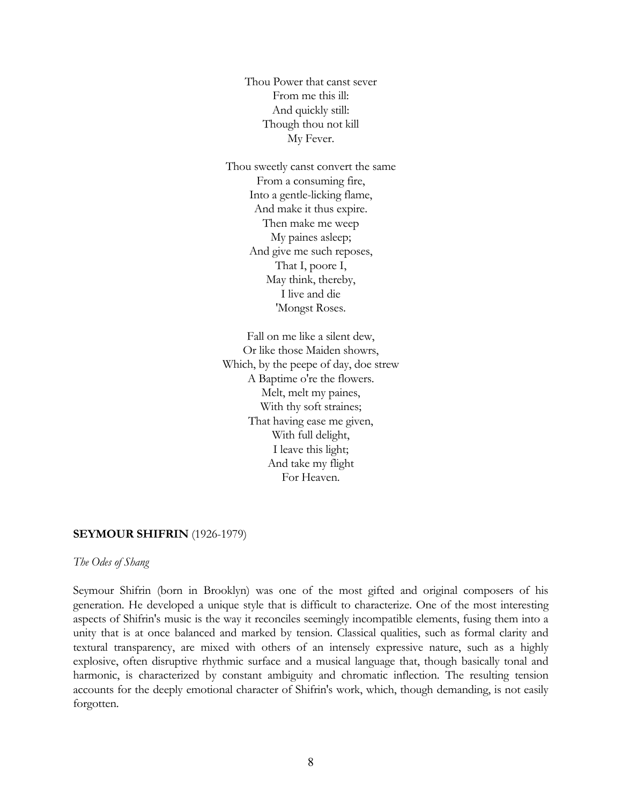Thou Power that canst sever From me this ill: And quickly still: Though thou not kill My Fever.

Thou sweetly canst convert the same From a consuming fire, Into a gentle-licking flame, And make it thus expire. Then make me weep My paines asleep; And give me such reposes, That I, poore I, May think, thereby, I live and die 'Mongst Roses.

Fall on me like a silent dew, Or like those Maiden showrs, Which, by the peepe of day, doe strew A Baptime o're the flowers. Melt, melt my paines, With thy soft straines; That having ease me given, With full delight, I leave this light; And take my flight For Heaven.

#### **SEYMOUR SHIFRIN** (1926-1979)

#### *The Odes of Shang*

Seymour Shifrin (born in Brooklyn) was one of the most gifted and original composers of his generation. He developed a unique style that is difficult to characterize. One of the most interesting aspects of Shifrin's music is the way it reconciles seemingly incompatible elements, fusing them into a unity that is at once balanced and marked by tension. Classical qualities, such as formal clarity and textural transparency, are mixed with others of an intensely expressive nature, such as a highly explosive, often disruptive rhythmic surface and a musical language that, though basically tonal and harmonic, is characterized by constant ambiguity and chromatic inflection. The resulting tension accounts for the deeply emotional character of Shifrin's work, which, though demanding, is not easily forgotten.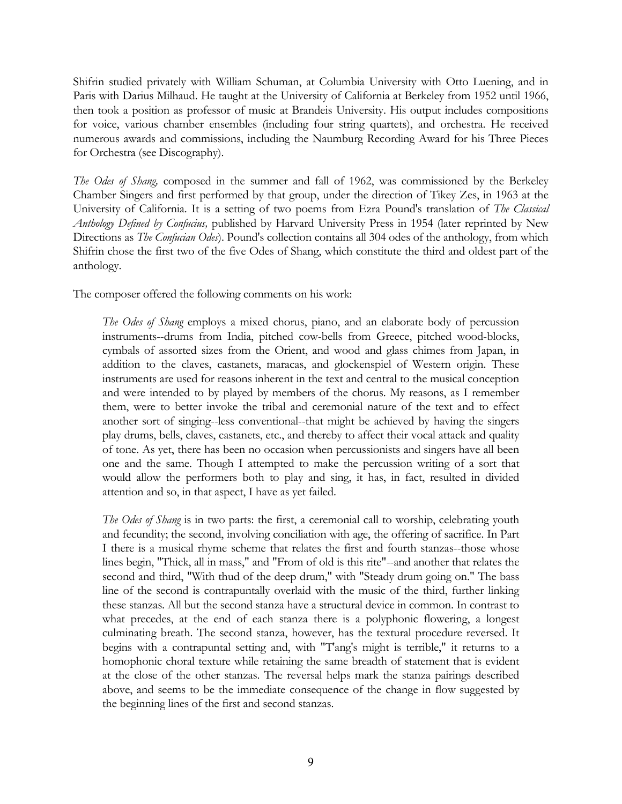Shifrin studied privately with William Schuman, at Columbia University with Otto Luening, and in Paris with Darius Milhaud. He taught at the University of California at Berkeley from 1952 until 1966, then took a position as professor of music at Brandeis University. His output includes compositions for voice, various chamber ensembles (including four string quartets), and orchestra. He received numerous awards and commissions, including the Naumburg Recording Award for his Three Pieces for Orchestra (see Discography).

*The Odes of Shang,* composed in the summer and fall of 1962, was commissioned by the Berkeley Chamber Singers and first performed by that group, under the direction of Tikey Zes, in 1963 at the University of California. It is a setting of two poems from Ezra Pound's translation of *The Classical Anthology Defined by Confucius,* published by Harvard University Press in 1954 (later reprinted by New Directions as *The Confucian Odes*). Pound's collection contains all 304 odes of the anthology, from which Shifrin chose the first two of the five Odes of Shang, which constitute the third and oldest part of the anthology.

The composer offered the following comments on his work:

*The Odes of Shang* employs a mixed chorus, piano, and an elaborate body of percussion instruments--drums from India, pitched cow-bells from Greece, pitched wood-blocks, cymbals of assorted sizes from the Orient, and wood and glass chimes from Japan, in addition to the claves, castanets, maracas, and glockenspiel of Western origin. These instruments are used for reasons inherent in the text and central to the musical conception and were intended to by played by members of the chorus. My reasons, as I remember them, were to better invoke the tribal and ceremonial nature of the text and to effect another sort of singing--less conventional--that might be achieved by having the singers play drums, bells, claves, castanets, etc., and thereby to affect their vocal attack and quality of tone. As yet, there has been no occasion when percussionists and singers have all been one and the same. Though I attempted to make the percussion writing of a sort that would allow the performers both to play and sing, it has, in fact, resulted in divided attention and so, in that aspect, I have as yet failed.

*The Odes of Shang* is in two parts: the first, a ceremonial call to worship, celebrating youth and fecundity; the second, involving conciliation with age, the offering of sacrifice. In Part I there is a musical rhyme scheme that relates the first and fourth stanzas--those whose lines begin, "Thick, all in mass," and "From of old is this rite"--and another that relates the second and third, "With thud of the deep drum," with "Steady drum going on." The bass line of the second is contrapuntally overlaid with the music of the third, further linking these stanzas. All but the second stanza have a structural device in common. In contrast to what precedes, at the end of each stanza there is a polyphonic flowering, a longest culminating breath. The second stanza, however, has the textural procedure reversed. It begins with a contrapuntal setting and, with "T'ang's might is terrible," it returns to a homophonic choral texture while retaining the same breadth of statement that is evident at the close of the other stanzas. The reversal helps mark the stanza pairings described above, and seems to be the immediate consequence of the change in flow suggested by the beginning lines of the first and second stanzas.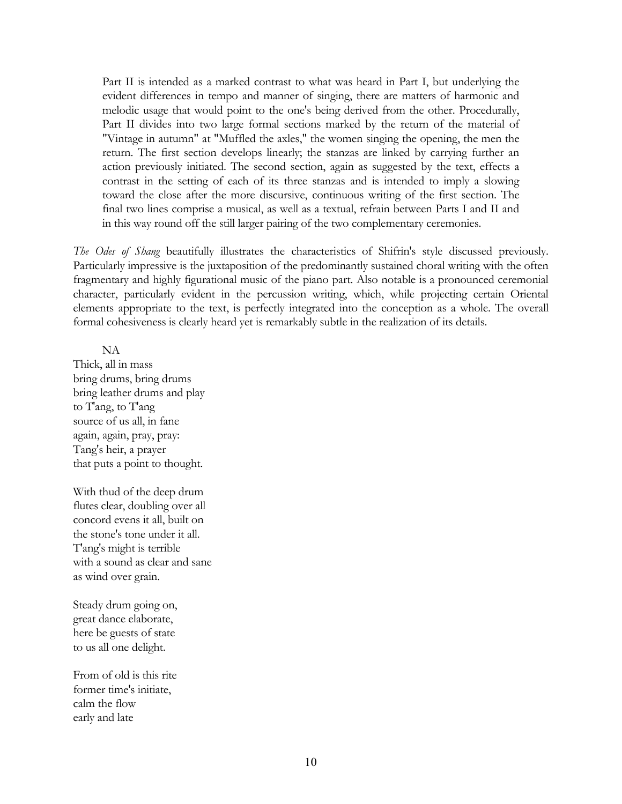Part II is intended as a marked contrast to what was heard in Part I, but underlying the evident differences in tempo and manner of singing, there are matters of harmonic and melodic usage that would point to the one's being derived from the other. Procedurally, Part II divides into two large formal sections marked by the return of the material of "Vintage in autumn" at "Muffled the axles," the women singing the opening, the men the return. The first section develops linearly; the stanzas are linked by carrying further an action previously initiated. The second section, again as suggested by the text, effects a contrast in the setting of each of its three stanzas and is intended to imply a slowing toward the close after the more discursive, continuous writing of the first section. The final two lines comprise a musical, as well as a textual, refrain between Parts I and II and in this way round off the still larger pairing of the two complementary ceremonies.

*The Odes of Shang* beautifully illustrates the characteristics of Shifrin's style discussed previously. Particularly impressive is the juxtaposition of the predominantly sustained choral writing with the often fragmentary and highly figurational music of the piano part. Also notable is a pronounced ceremonial character, particularly evident in the percussion writing, which, while projecting certain Oriental elements appropriate to the text, is perfectly integrated into the conception as a whole. The overall formal cohesiveness is clearly heard yet is remarkably subtle in the realization of its details.

#### NA

Thick, all in mass bring drums, bring drums bring leather drums and play to T'ang, to T'ang source of us all, in fane again, again, pray, pray: Tang's heir, a prayer that puts a point to thought.

With thud of the deep drum flutes clear, doubling over all concord evens it all, built on the stone's tone under it all. T'ang's might is terrible with a sound as clear and sane as wind over grain.

Steady drum going on, great dance elaborate, here be guests of state to us all one delight.

From of old is this rite former time's initiate, calm the flow early and late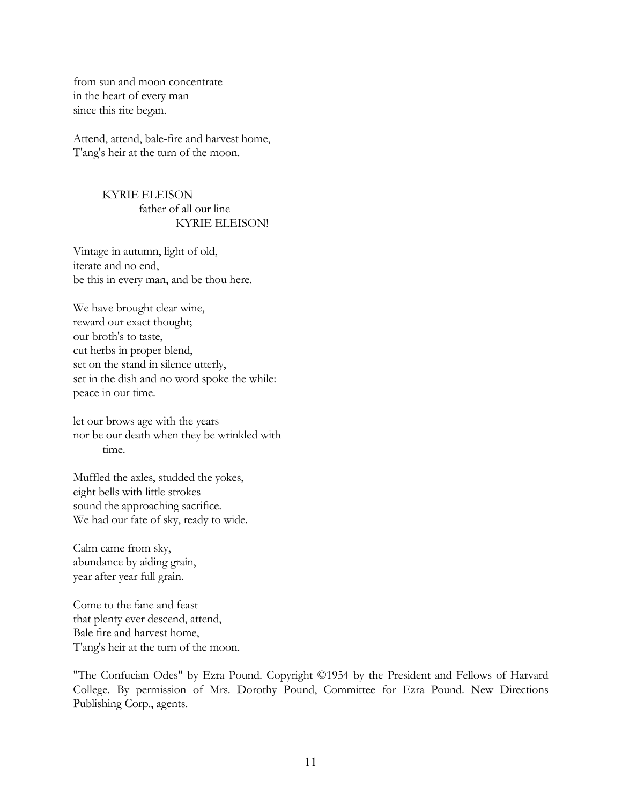from sun and moon concentrate in the heart of every man since this rite began.

Attend, attend, bale-fire and harvest home, T'ang's heir at the turn of the moon.

# KYRIE ELEISON father of all our line KYRIE ELEISON!

Vintage in autumn, light of old, iterate and no end, be this in every man, and be thou here.

We have brought clear wine, reward our exact thought; our broth's to taste, cut herbs in proper blend, set on the stand in silence utterly, set in the dish and no word spoke the while: peace in our time.

let our brows age with the years nor be our death when they be wrinkled with time.

Muffled the axles, studded the yokes, eight bells with little strokes sound the approaching sacrifice. We had our fate of sky, ready to wide.

Calm came from sky, abundance by aiding grain, year after year full grain.

Come to the fane and feast that plenty ever descend, attend, Bale fire and harvest home, T'ang's heir at the turn of the moon.

"The Confucian Odes" by Ezra Pound. Copyright ©1954 by the President and Fellows of Harvard College. By permission of Mrs. Dorothy Pound, Committee for Ezra Pound. New Directions Publishing Corp., agents.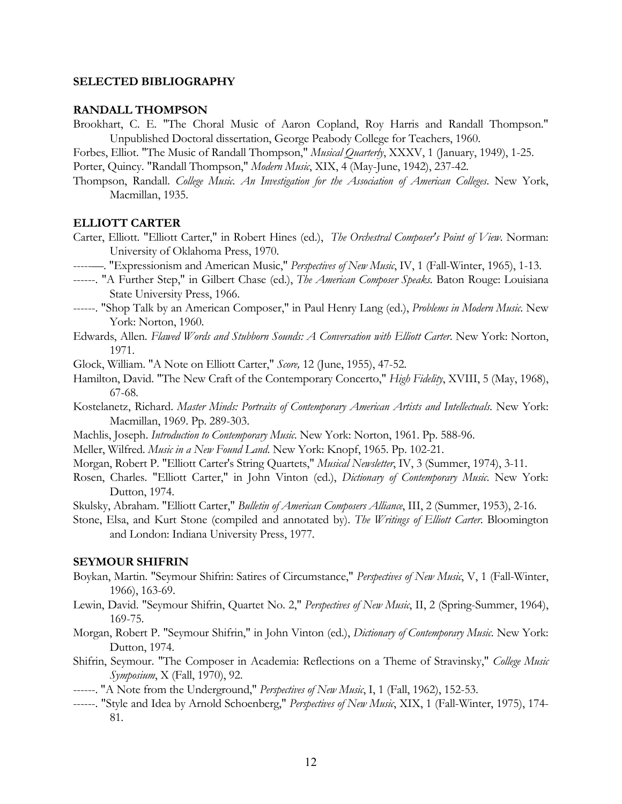### **SELECTED BIBLIOGRAPHY**

#### **RANDALL THOMPSON**

- Brookhart, C. E. "The Choral Music of Aaron Copland, Roy Harris and Randall Thompson." Unpublished Doctoral dissertation, George Peabody College for Teachers, 1960.
- Forbes, Elliot. "The Music of Randall Thompson," *Musical Quarterly*, XXXV, 1 (January, 1949), 1-25.

Porter, Quincy. "Randall Thompson," *Modern Music*, XIX, 4 (May-June, 1942), 237-42.

Thompson, Randall. *College Music. An Investigation for the Association of American Colleges*. New York, Macmillan, 1935.

## **ELLIOTT CARTER**

- Carter, Elliott. "Elliott Carter," in Robert Hines (ed.), *The Orchestral Composer's Point of View*. Norman: University of Oklahoma Press, 1970.
- -----—. "Expressionism and American Music," *Perspectives of New Music*, IV, 1 (Fall-Winter, 1965), 1-13.
- ------. "A Further Step," in Gilbert Chase (ed.), *The American Composer Speaks.* Baton Rouge: Louisiana State University Press, 1966.
- ------. "Shop Talk by an American Composer," in Paul Henry Lang (ed.), *Problems in Modern Music*. New York: Norton, 1960.
- Edwards, Allen. *Flawed Words and Stubborn Sounds: A Conversation with Elliott Carter*. New York: Norton, 1971.
- Glock, William. "A Note on Elliott Carter," *Score,* 12 (June, 1955), 47-52.
- Hamilton, David. "The New Craft of the Contemporary Concerto," *High Fidelity*, XVIII, 5 (May, 1968), 67-68.
- Kostelanetz, Richard. *Master Minds: Portraits of Contemporary American Artists and Intellectuals*. New York: Macmillan, 1969. Pp. 289-303.
- Machlis, Joseph. *Introduction to Contemporary Music*. New York: Norton, 1961. Pp. 588-96.
- Meller, Wilfred. *Music in a New Found Land*. New York: Knopf, 1965. Pp. 102-21.
- Morgan, Robert P. "Elliott Carter's String Quartets," *Musical Newsletter*, IV, 3 (Summer, 1974), 3-11.
- Rosen, Charles. "Elliott Carter," in John Vinton (ed.), *Dictionary of Contemporary Music*. New York: Dutton, 1974.
- Skulsky, Abraham. "Elliott Carter," *Bulletin of American Composers Alliance*, III, 2 (Summer, 1953), 2-16.
- Stone, Elsa, and Kurt Stone (compiled and annotated by). *The Writings of Elliott Carter*. Bloomington and London: Indiana University Press, 1977.

## **SEYMOUR SHIFRIN**

- Boykan, Martin. "Seymour Shifrin: Satires of Circumstance," *Perspectives of New Music*, V, 1 (Fall-Winter, 1966), 163-69.
- Lewin, David. "Seymour Shifrin, Quartet No. 2," *Perspectives of New Music*, II, 2 (Spring-Summer, 1964), 169-75.
- Morgan, Robert P. "Seymour Shifrin," in John Vinton (ed.), *Dictionary of Contemporary Music*. New York: Dutton, 1974.
- Shifrin, Seymour. "The Composer in Academia: Reflections on a Theme of Stravinsky," *College Music Symposium*, X (Fall, 1970), 92.
- ------. "A Note from the Underground," *Perspectives of New Music*, I, 1 (Fall, 1962), 152-53.
- ------. "Style and Idea by Arnold Schoenberg," *Perspectives of New Music*, XIX, 1 (Fall-Winter, 1975), 174- 81.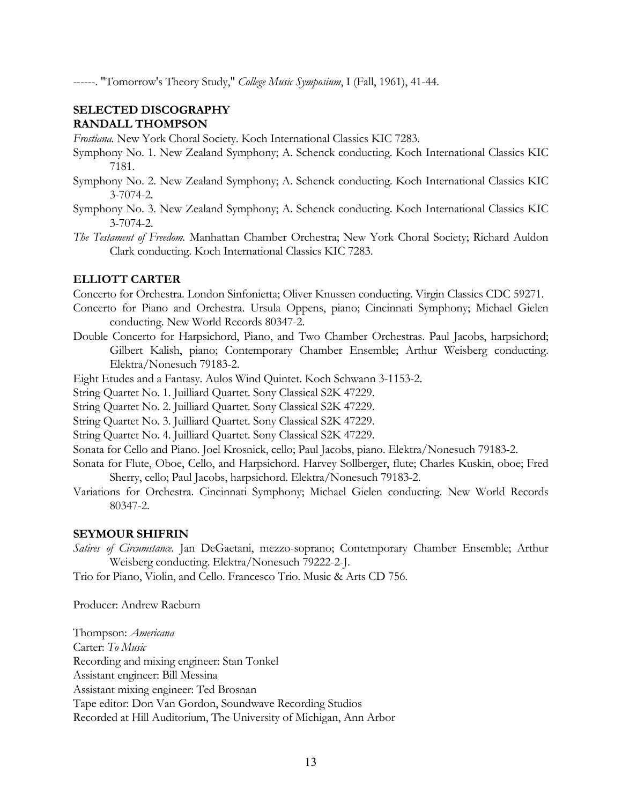------. "Tomorrow's Theory Study," *College Music Symposium*, I (Fall, 1961), 41-44.

## **SELECTED DISCOGRAPHY RANDALL THOMPSON**

*Frostiana.* New York Choral Society. Koch International Classics KIC 7283.

- Symphony No. 1. New Zealand Symphony; A. Schenck conducting. Koch International Classics KIC 7181.
- Symphony No. 2. New Zealand Symphony; A. Schenck conducting. Koch International Classics KIC 3-7074-2.
- Symphony No. 3. New Zealand Symphony; A. Schenck conducting. Koch International Classics KIC 3-7074-2.
- *The Testament of Freedom.* Manhattan Chamber Orchestra; New York Choral Society; Richard Auldon Clark conducting. Koch International Classics KIC 7283.

## **ELLIOTT CARTER**

Concerto for Orchestra. London Sinfonietta; Oliver Knussen conducting. Virgin Classics CDC 59271.

- Concerto for Piano and Orchestra. Ursula Oppens, piano; Cincinnati Symphony; Michael Gielen conducting. New World Records 80347-2.
- Double Concerto for Harpsichord, Piano, and Two Chamber Orchestras. Paul Jacobs, harpsichord; Gilbert Kalish, piano; Contemporary Chamber Ensemble; Arthur Weisberg conducting. Elektra/Nonesuch 79183-2.

Eight Etudes and a Fantasy. Aulos Wind Quintet. Koch Schwann 3-1153-2.

String Quartet No. 1. Juilliard Quartet. Sony Classical S2K 47229.

String Quartet No. 2. Juilliard Quartet. Sony Classical S2K 47229.

String Quartet No. 3. Juilliard Quartet. Sony Classical S2K 47229.

String Quartet No. 4. Juilliard Quartet. Sony Classical S2K 47229.

- Sonata for Cello and Piano. Joel Krosnick, cello; Paul Jacobs, piano. Elektra/Nonesuch 79183-2.
- Sonata for Flute, Oboe, Cello, and Harpsichord. Harvey Sollberger, flute; Charles Kuskin, oboe; Fred Sherry, cello; Paul Jacobs, harpsichord. Elektra/Nonesuch 79183-2.
- Variations for Orchestra. Cincinnati Symphony; Michael Gielen conducting. New World Records 80347-2.

#### **SEYMOUR SHIFRIN**

*Satires of Circumstance.* Jan DeGaetani, mezzo-soprano; Contemporary Chamber Ensemble; Arthur Weisberg conducting. Elektra/Nonesuch 79222-2-J.

Trio for Piano, Violin, and Cello. Francesco Trio. Music & Arts CD 756.

Producer: Andrew Raeburn

Thompson: *Americana* Carter: *To Music* Recording and mixing engineer: Stan Tonkel Assistant engineer: Bill Messina Assistant mixing engineer: Ted Brosnan Tape editor: Don Van Gordon, Soundwave Recording Studios Recorded at Hill Auditorium, The University of Michigan, Ann Arbor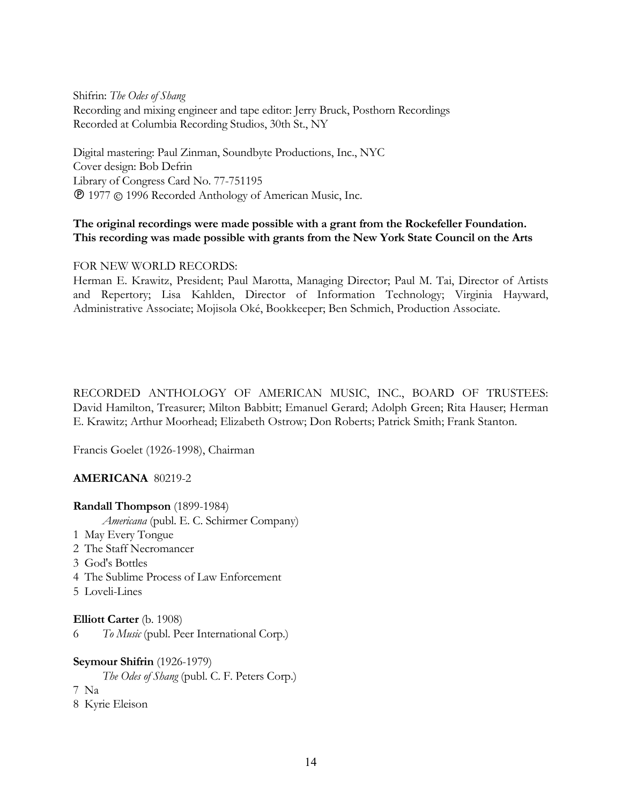Shifrin: *The Odes of Shang* Recording and mixing engineer and tape editor: Jerry Bruck, Posthorn Recordings Recorded at Columbia Recording Studios, 30th St., NY

Digital mastering: Paul Zinman, Soundbyte Productions, Inc., NYC Cover design: Bob Defrin Library of Congress Card No. 77-751195 1977 1996 Recorded Anthology of American Music, Inc.

# **The original recordings were made possible with a grant from the Rockefeller Foundation. This recording was made possible with grants from the New York State Council on the Arts**

FOR NEW WORLD RECORDS:

Herman E. Krawitz, President; Paul Marotta, Managing Director; Paul M. Tai, Director of Artists and Repertory; Lisa Kahlden, Director of Information Technology; Virginia Hayward, Administrative Associate; Mojisola Oké, Bookkeeper; Ben Schmich, Production Associate.

RECORDED ANTHOLOGY OF AMERICAN MUSIC, INC., BOARD OF TRUSTEES: David Hamilton, Treasurer; Milton Babbitt; Emanuel Gerard; Adolph Green; Rita Hauser; Herman E. Krawitz; Arthur Moorhead; Elizabeth Ostrow; Don Roberts; Patrick Smith; Frank Stanton.

Francis Goelet (1926-1998), Chairman

# **AMERICANA** 80219-2

# **Randall Thompson** (1899-1984)

 *Americana* (publ. E. C. Schirmer Company)

- 1 May Every Tongue
- 2 The Staff Necromancer
- 3 God's Bottles
- 4 The Sublime Process of Law Enforcement
- 5 Loveli-Lines

**Elliott Carter** (b. 1908) 6 *To Music* (publ. Peer International Corp.)

**Seymour Shifrin** (1926-1979)

*The Odes of Shang* (publ. C. F. Peters Corp.)

7 Na

8 Kyrie Eleison